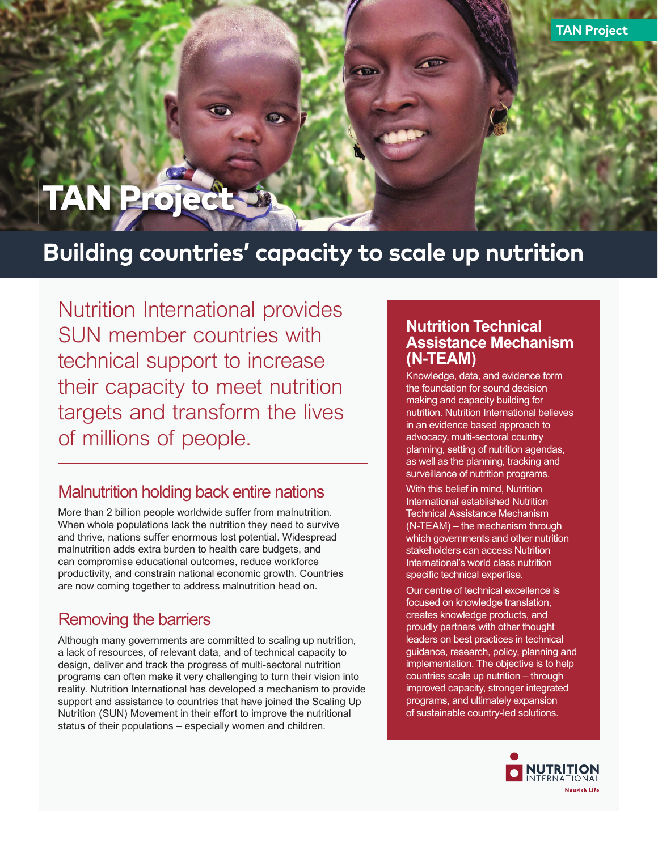# **TAN Proje**

## **Building countries' capacity to scale up nutrition**

*Nutrition International provides SUN member countries with technical support to increase their capacity to meet nutrition targets and transform the lives of millions of people.*

#### *Malnutrition holding back entire nations*

*More than 2 billion people worldwide suffer from malnutrition. When whole populations lack the nutrition they need to survive and thrive, nations suffer enormous lost potential. Widespread malnutrition adds extra burden to health care budgets, and can compromise educational outcomes, reduce workforce productivity, and constrain national economic growth. Countries are now coming together to address malnutrition head on.*

### *Removing the barriers*

*Although many governments are committed to scaling up nutrition, a lack of resources, of relevant data, and of technical capacity to design, deliver and track the progress of multi-sectoral nutrition programs can often make it very challenging to turn their vision into reality. Nutrition International has developed a mechanism to provide support and assistance to countries that have joined the Scaling Up Nutrition (SUN) Movement in their effort to improve the nutritional status of their populations – especially women and children.*

#### *Nutrition Technical Assistance Mechanism (N-TEAM)*

**TAN Project**

*Knowledge, data, and evidence form the foundation for sound decision making and capacity building for nutrition. Nutrition International believes in an evidence based approach to advocacy, multi-sectoral country planning, setting of nutrition agendas, as well as the planning, tracking and surveillance of nutrition programs.* 

*With this belief in mind, Nutrition International established Nutrition Technical Assistance Mechanism (N-TEAM) – the mechanism through which governments and other nutrition stakeholders can access Nutrition International's world class nutrition*  specific technical expertise.

*Our centre of technical excellence is focused on knowledge translation, creates knowledge products, and proudly partners with other thought leaders on best practices in technical guidance, research, policy, planning and implementation. The objective is to help countries scale up nutrition – through improved capacity, stronger integrated programs, and ultimately expansion of sustainable country-led solutions.*